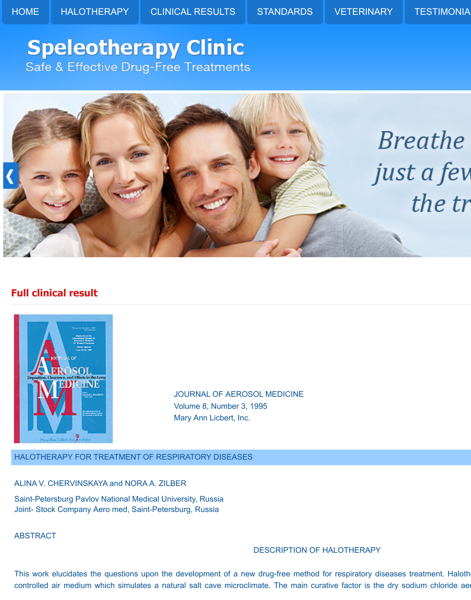[HOME](http://www.halotherapy.com/) [HALOTHERAPY](http://www.halotherapy.com/halotherapy.html) [CLINICAL RESULTS](http://www.halotherapy.com/clinical-results.html) [STANDARDS](http://www.halotherapy.com/standards.html) [VETERINARY](http://www.halotherapy.com/veterinary.html) TESTIMONIA

# **Speleotherapy Clinic** Safe & Effective Drug-Free Treatments



# **Full clinical result**



JOURNAL OF AEROSOL MEDICINE Volume 8, Number 3, 1995 Mary Ann Licbert, Inc.

HALOTHERAPY FOR TREATMENT OF RESPIRATORY DISEASES

ALINA V. CHERVINSKAYA and NORA A. ZILBER

Saint-Petersburg Pavlov National Medical University, Russia Joint- Stock Company Aero med, Saint-Petersburg, Russia

ABSTRACT

# DESCRIPTION OF HALOTHERAPY

This work elucidates the questions upon the development of a new drug-free method for respiratory diseases treatment. Haloth controlled air medium which simulates a natural salt cave microclimate. The main curative factor is the dry sodium chloride aer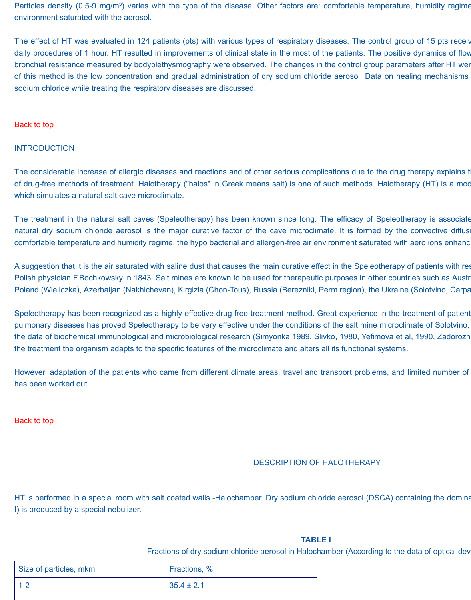Particles density (0.5-9 mg/m<sup>3</sup>) varies with the type of the disease. Other factors are: comfortable temperature, humidity regime environment saturated with the aerosol.

The effect of HT was evaluated in 124 patients (pts) with various types of respiratory diseases. The control group of 15 pts received proup of 15 pts received proup of 15 pts received and place to the variant of the varian daily procedures of 1 hour. HT resulted in improvements of clinical state in the most of the patients. The positive dynamics of flow bronchial resistance measured by bodyplethysmography were observed. The changes in the control group parameters after HT were of this method is the low concentration and gradual administration of dry sodium chloride aerosol. Data on healing mechanisms sodium chloride while treating the respiratory diseases are discussed.

#### [Back to top](http://www.halotherapy.com/full-clinical-result.html#Topofresults)

#### **INTRODUCTION**

The considerable increase of allergic diseases and reactions and of other serious complications due to the drug therapy explains t of drug-free methods of treatment. Halotherapy ("halos" in Greek means salt) is one of such methods. Halotherapy (HT) is a mod which simulates a natural salt cave microclimate.

The treatment in the natural salt caves (Speleotherapy) has been known since long. The efficacy of Speleotherapy is associate natural dry sodium chloride aerosol is the major curative factor of the cave microclimate. It is formed by the convective diffusi comfortable temperature and humidity regime, the hypo bacterial and allergen-free air environment saturated with aero ions enhanc

A suggestion that it is the air saturated with saline dust that causes the main curative effect in the Speleotherapy of patients with res Polish physician F.Bochkowsky in 1843. Salt mines are known to be used for therapeutic purposes in other countries such as Austr Poland (Wieliczka), Azerbaijan (Nakhichevan), Kirgizia (Chon-Tous), Russia (Berezniki, Perm region), the Ukraine (Solotvino, Carpa

Speleotherapy has been recognized as a highly effective drug-free treatment method. Great experience in the treatment of patient pulmonary diseases has proved Speleotherapy to be very effective under the conditions of the salt mine microclimate of Solotvino. the data of biochemical immunological and microbiological research (Simyonka 1989, Slivko, 1980, Yefimova et al, 1990, Zadorozh the treatment the organism adapts to the specific features of the microclimate and alters all its functional systems.

However, adaptation of the patients who came from different climate areas, travel and transport problems, and limited number of has been worked out.

[Back to top](http://www.halotherapy.com/full-clinical-result.html#Topofresults)

# DESCRIPTION OF HALOTHERAPY

HT is performed in a special room with salt coated walls -Halochamber. Dry sodium chloride aerosol (DSCA) containing the domina I) is produced by a special nebulizer.

#### **TABLE I**

Fractions of dry sodium chloride aerosol in Halochamber (According to the data of optical dev

| Size of particles, mkm | Fractions, %   |
|------------------------|----------------|
| $1 - 2$                | $35.4 \pm 2.1$ |
|                        |                |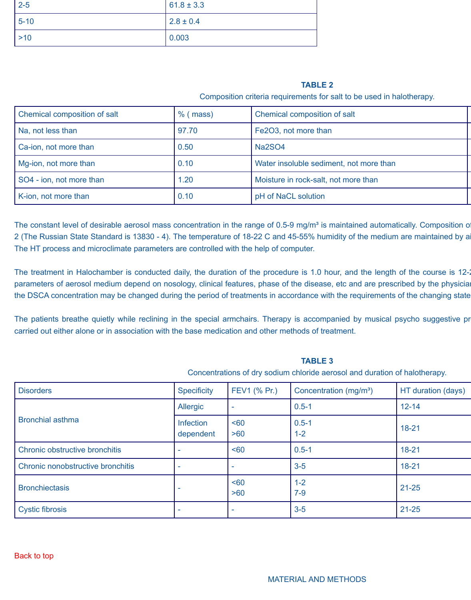| $2 - 5$  | $61.8 \pm 3.3$ |
|----------|----------------|
| $5 - 10$ | $2.8 \pm 0.4$  |
| $>10$    | 0.003          |

# **TABLE 2**

Composition criteria requirements for salt to be used in halotherapy.

**TABLE 3** Concentrations of dry sodium chloride aerosol and duration of halotherapy.

MATERIAL AND METHODS

| Chemical composition of salt | $%$ (mass) | Chemical composition of salt            |
|------------------------------|------------|-----------------------------------------|
| Na, not less than            | 97.70      | Fe2O3, not more than                    |
| Ca-ion, not more than        | 0.50       | <b>Na2SO4</b>                           |
| Mg-ion, not more than        | 0.10       | Water insoluble sediment, not more than |
| SO4 - ion, not more than     | 1.20       | Moisture in rock-salt, not more than    |
| K-ion, not more than         | 0.10       | pH of NaCL solution                     |

The constant level of desirable aerosol mass concentration in the range of 0.5-9 mg/m<sup>3</sup> is maintained automatically. Composition o 2 (The Russian State Standard is 13830 - 4). The temperature of 18-22 C and 45-55% humidity of the medium are maintained by a The HT process and microclimate parameters are controlled with the help of computer.

The treatment in Halochamber is conducted daily, the duration of the procedure is 1.0 hour, and the length of the course is 12-2 parameters of aerosol medium depend on nosology, clinical features, phase of the disease, etc and are prescribed by the physicial the DSCA concentration may be changed during the period of treatments in accordance with the requirements of the changing state

The patients breathe quietly while reclining in the special armchairs. Therapy is accompanied by musical psycho suggestive pr carried out either alone or in association with the base medication and other methods of treatment.

| Concentrations of dry socium chlonge aerosof and duration of halotherapy. |                               |                         |                                    |                    |
|---------------------------------------------------------------------------|-------------------------------|-------------------------|------------------------------------|--------------------|
| <b>Disorders</b>                                                          | <b>Specificity</b>            | FEV1 (% Pr.)            | Concentration (mg/m <sup>3</sup> ) | HT duration (days) |
|                                                                           | <b>Allergic</b>               |                         | $0.5 - 1$                          | $12 - 14$          |
| <b>Bronchial asthma</b>                                                   | <b>Infection</b><br>dependent | 50 <sub>60</sub><br>>60 | $0.5 - 1$<br>$1-2$                 | $18 - 21$          |
| Chronic obstructive bronchitis                                            |                               | 50 <sub>60</sub>        | $0.5 - 1$                          | $18 - 21$          |
| Chronic nonobstructive bronchitis                                         |                               |                         | $3-5$                              | $18 - 21$          |
| <b>Bronchiectasis</b>                                                     |                               | 50 <sub>60</sub><br>>60 | $1 - 2$<br>$7-9$                   | $21 - 25$          |
| <b>Cystic fibrosis</b>                                                    |                               |                         | $3-5$                              | $21 - 25$          |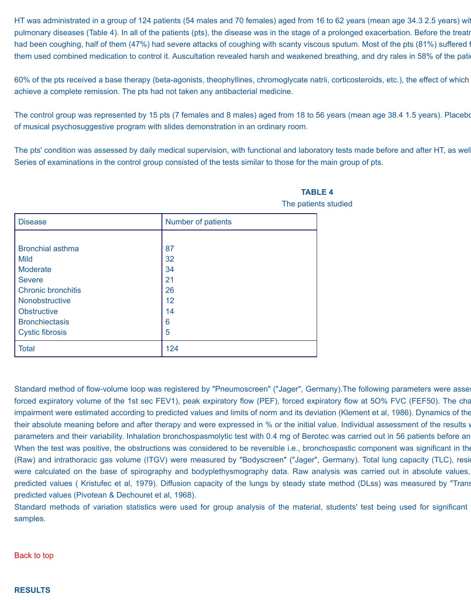HT was administrated in a group of 124 patients (54 males and 70 females) aged from 16 to 62 years (mean age 34.3 2.5 years) wit pulmonary diseases (Table 4). In all of the patients (pts), the disease was in the stage of a prolonged exacerbation. Before the treatr had been coughing, half of them (47%) had severe attacks of coughing with scanty viscous sputum. Most of the pts (81%) suffered f them used combined medication to control it. Auscultation revealed harsh and weakened breathing, and dry rales in 58% of the pation

60% of the pts received a base therapy (beta-agonists, theophyllines, chromoglycate natrii, corticosteroids, etc.), the effect of which achieve a complete remission. The pts had not taken any antibacterial medicine.

The control group was represented by 15 pts (7 females and 8 males) aged from 18 to 56 years (mean age 38.4 1.5 years). Placebor of musical psychosuggestive program with slides demonstration in an ordinary room.

The pts' condition was assessed by daily medical supervision, with functional and laboratory tests made before and after HT, as well Series of examinations in the control group consisted of the tests similar to those for the main group of pts.

| <b>Disease</b>            | Number of patients |
|---------------------------|--------------------|
|                           |                    |
| <b>Bronchial asthma</b>   | 87                 |
| <b>Mild</b>               | 32                 |
| <b>Moderate</b>           | 34                 |
| <b>Severe</b>             | 21                 |
| <b>Chronic bronchitis</b> | 26                 |
| Nonobstructive            | 12                 |
| <b>Obstructive</b>        | 14                 |
| <b>Bronchiectasis</b>     | 6                  |
| <b>Cystic fibrosis</b>    | 5                  |
| <b>Total</b>              | 124                |

# **TABLE 4** The patients studied

Standard method of flow-volume loop was registered by "Pneumoscreen" ("Jager", Germany).The following parameters were asse forced expiratory volume of the 1st sec FEV1), peak expiratory flow (PEF), forced expiratory flow at 5O% FVC (FEF50). The cha impairment were estimated according to predicted values and limits of norm and its deviation (Klement et al, 1986). Dynamics of the their absolute meaning before and after therapy and were expressed in % or the initial value. Individual assessment of the results was achieved by comparing changes in the results was achieved by comparing changes in the r parameters and their variability. Inhalation bronchospasmolytic test with 0.4 mg of Berotec was carried out in 56 patients before an When the test was positive, the obstructions was considered to be reversible i.e., bronchospastic component was significant in the (Raw) and intrathoracic gas volume (ITGV) were measured by "Bodyscreen" ("Jager", Germany). Total lung capacity (TLC), resid were calculated on the base of spirography and bodyplethysmography data. Raw analysis was carried out in absolute values, predicted values ( Kristufec et al, 1979). Diffusion capacity of the lungs by steady state method (DLss) was measured by "Trans predicted values (Pivotean & Dechouret et al, 1968).

Standard methods of variation statistics were used for group analysis of the material, students' test being used for significant samples.

[Back to top](http://www.halotherapy.com/full-clinical-result.html#Topofresults)

# **RESULTS**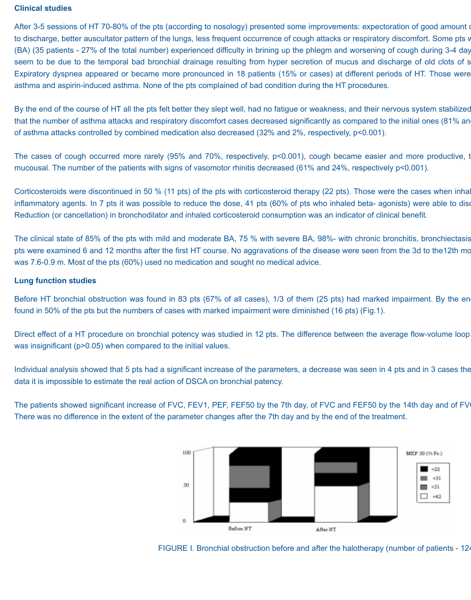#### **Clinical studies**

After 3-5 sessions of HT 70-80% of the pts (according to nosology) presented some improvements: expectoration of good amount of to discharge, better auscultator pattern of the lungs, less frequent occurrence of cough attacks or respiratory discomfort. Some pts v (BA) (35 patients - 27% of the total number) experienced difficulty in brining up the phlegm and worsening of cough during 3-4 day seem to be due to the temporal bad bronchial drainage resulting from hyper secretion of mucus and discharge of old clots of s Expiratory dyspnea appeared or became more pronounced in 18 patients (15% or cases) at different periods of HT. Those were asthma and aspirin-induced asthma. None of the pts complained of bad condition during the HT procedures.

By the end of the course of HT all the pts felt better they slept well, had no fatigue or weakness, and their nervous system stabilized that the number of asthma attacks and respiratory discomfort cases decreased significantly as compared to the initial ones (81% an of asthma attacks controlled by combined medication also decreased (32% and 2%, respectively, p<0.001).

The cases of cough occurred more rarely (95% and 70%, respectively, p<0.001), cough became easier and more productive, t mucousal. The number of the patients with signs of vasomotor rhinitis decreased (61% and 24%, respectively p<0.001).

Corticosteroids were discontinued in 50 % (11 pts) of the pts with corticosteroid therapy (22 pts). Those were the cases when inhal inflammatory agents. In 7 pts it was possible to reduce the dose, 41 pts (60% of pts who inhaled beta-agonists) were able to disc Reduction (or cancellation) in bronchodilator and inhaled corticosteroid consumption was an indicator of clinical benefit.

The clinical state of 85% of the pts with mild and moderate BA, 75 % with severe BA, 98%- with chronic bronchitis, bronchiectasis pts were examined 6 and 12 months after the first HT course. No aggravations of the disease were seen from the 3d to the 12th mo was 7.6-0.9 m. Most of the pts (60%) used no medication and sought no medical advice.

#### **Lung function studies**

Before HT bronchial obstruction was found in 83 pts (67% of all cases), 1/3 of them (25 pts) had marked impairment. By the en found in 50% of the pts but the numbers of cases with marked impairment were diminished (16 pts) (Fig.1).

Direct effect of a HT procedure on bronchial potency was studied in 12 pts. The difference between the average flow-volume loop was insignificant (p>0.05) when compared to the initial values.

Individual analysis showed that 5 pts had a significant increase of the parameters, a decrease was seen in 4 pts and in 3 cases the data it is impossible to estimate the real action of DSCA on bronchial patency.

The patients showed significant increase of FVC, FEV1, PEF, FEF50 by the 7th day, of FVC and FEF50 by the 14th day and of FV There was no difference in the extent of the parameter changes after the 7th day and by the end of the treatment.



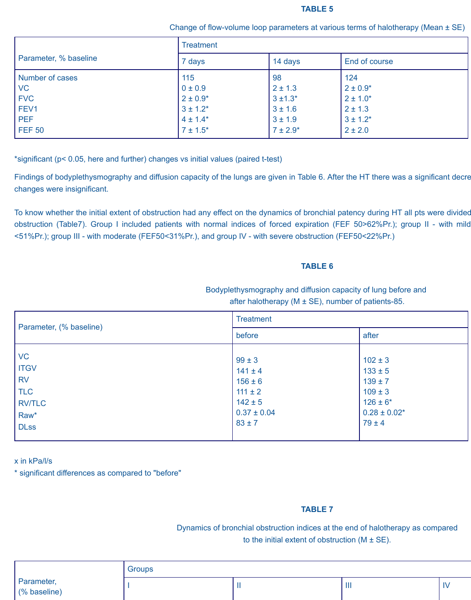#### **TABLE 5**

Change of flow-volume loop parameters at various terms of halotherapy (Mean ± SE)

|                       | <b>Treatment</b> |               |               |
|-----------------------|------------------|---------------|---------------|
| Parameter, % baseline | 7 days           | 14 days       | End of course |
| Number of cases       | 115              | 98            | 124           |
| <b>VC</b>             | 0 ± 0.9          | $2 \pm 1.3$   | $2 \pm 0.9*$  |
| <b>FVC</b>            | $2 \pm 0.9^*$    | $3 \pm 1.3^*$ | $2 \pm 1.0^*$ |
| FEV1                  | $3 \pm 1.2^*$    | $3 \pm 1.6$   | $2 \pm 1.3$   |
| <b>PEF</b>            | $4 \pm 1.4^*$    | $3 \pm 1.9$   | $3 \pm 1.2^*$ |
| <b>FEF 50</b>         | $7 \pm 1.5^*$    | $7 \pm 2.9^*$ | $2 \pm 2.0$   |

\*significant (p< 0.05, here and further) changes vs initial values (paired t-test)

Findings of bodyplethysmography and diffusion capacity of the lungs are given in Table 6. After the HT there was a significant decre changes were insignificant.

To know whether the initial extent of obstruction had any effect on the dynamics of bronchial patency during HT all pts were divided obstruction (Table7). Group I included patients with normal indices of forced expiration (FEF 50>62%Pr.); group II - with mild <51%Pr.); group III - with moderate (FEF50<31%Pr.), and group IV - with severe obstruction (FEF50<22%Pr.)

# **TABLE 6**

# Bodyplethysmography and diffusion capacity of lung before and after halotherapy ( $M \pm SE$ ), number of patients-85.

|                                                                                             | <b>Treatment</b>                                                                                        |                                                                                                              |
|---------------------------------------------------------------------------------------------|---------------------------------------------------------------------------------------------------------|--------------------------------------------------------------------------------------------------------------|
| Parameter, (% baseline)                                                                     | before                                                                                                  | after                                                                                                        |
| <b>VC</b><br><b>ITGV</b><br><b>RV</b><br><b>TLC</b><br><b>RV/TLC</b><br>Raw*<br><b>DLss</b> | $99 \pm 3$<br>$141 \pm 4$<br>$156 \pm 6$<br>$111 \pm 2$<br>$142 \pm 5$<br>$0.37 \pm 0.04$<br>$83 \pm 7$ | $102 \pm 3$<br>$133 \pm 5$<br>$139 \pm 7$<br>$109 \pm 3$<br>$126 \pm 6^*$<br>$0.28 \pm 0.02$ *<br>$79 \pm 4$ |

x in kPa/l/s

\* significant differences as compared to "before"

# **TABLE 7**

Dynamics of bronchial obstruction indices at the end of halotherapy as compared to the initial extent of obstruction  $(M \pm SE)$ .

|                            | Groups |   |   |                       |
|----------------------------|--------|---|---|-----------------------|
| Parameter,<br>(% baseline) |        | . | . | $\mathbf{u}$<br>- I V |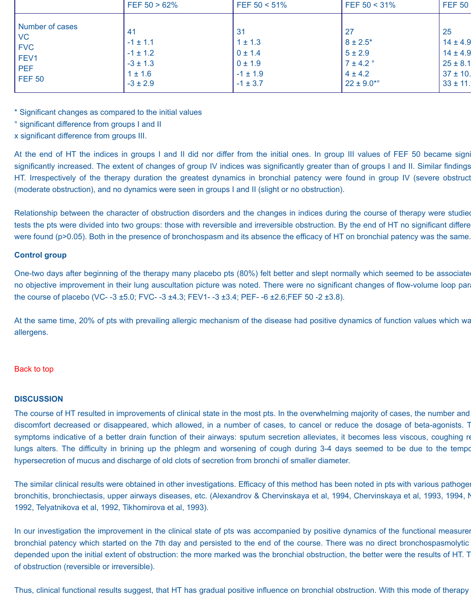| 25<br>27<br>31<br>41<br>$8 \pm 2.5^*$<br>$14 \pm 4.9$<br>$1 \pm 1.3$<br>$-1 \pm 1.1$<br>$14 \pm 4.9$<br>$0 \pm 1.4$<br>$5 \pm 2.9$<br>$-1 \pm 1.2$<br>$7 \pm 4.2$ °<br>$25 \pm 8.1$<br>$-3 \pm 1.3$<br>$0 \pm 1.9$<br>$37 \pm 10$ .<br>$4 \pm 4.2$<br>$-1 \pm 1.9$<br>$1 \pm 1.6$<br>$22 \pm 9.0^{*o}$<br>$-3 \pm 2.9$<br>$33 \pm 11$ .<br>$-1 \pm 3.7$ |                                                                                          | FEF $50 > 62\%$ | FEF $50 < 51\%$ | FEF $50 < 31\%$ | <b>FEF 50</b> |
|---------------------------------------------------------------------------------------------------------------------------------------------------------------------------------------------------------------------------------------------------------------------------------------------------------------------------------------------------------|------------------------------------------------------------------------------------------|-----------------|-----------------|-----------------|---------------|
|                                                                                                                                                                                                                                                                                                                                                         | <b>Number of cases</b><br><b>VC</b><br><b>FVC</b><br>FEV1<br><b>PEF</b><br><b>FEF 50</b> |                 |                 |                 |               |

\* Significant changes as compared to the initial values

° significant difference from groups I and II

x significant difference from groups III.

At the end of HT the indices in groups I and II did nor differ from the initial ones. In group III values of FEF 50 became signi significantly increased. The extent of changes of group IV indices was significantly greater than of groups I and II. Similar findings HT. Irrespectively of the therapy duration the greatest dynamics in bronchial patency were found in group IV (severe obstruct (moderate obstruction), and no dynamics were seen in groups I and II (slight or no obstruction).

Relationship between the character of obstruction disorders and the changes in indices during the course of therapy were studied tests the pts were divided into two groups: those with reversible and irreversible obstruction. By the end of HT no significant differe were found (p>0.05). Both in the presence of bronchospasm and its absence the efficacy of HT on bronchial patency was the same.

# **Control group**

One-two days after beginning of the therapy many placebo pts (80%) felt better and slept normally which seemed to be associate no objective improvement in their lung auscultation picture was noted. There were no significant changes of flow-volume loop para the course of placebo (VC- -3 ±5.0; FVC- -3 ±4.3; FEV1- -3 ±3.4; PEF- -6 ±2.6;FEF 50 -2 ±3.8).

At the same time, 20% of pts with prevailing allergic mechanism of the disease had positive dynamics of function values which wa allergens.

# [Back to top](http://www.halotherapy.com/full-clinical-result.html#Topofresults)

# **DISCUSSION**

The course of HT resulted in improvements of clinical state in the most pts. In the overwhelming majority of cases, the number and discomfort decreased or disappeared, which allowed, in a number of cases, to cancel or reduce the dosage of beta-agonists. T symptoms indicative of a better drain function of their airways: sputum secretion alleviates, it becomes less viscous, coughing re lungs alters. The difficulty in brining up the phlegm and worsening of cough during 3-4 days seemed to be due to the temporal hypersecretion of mucus and discharge of old clots of secretion from bronchi of smaller diameter.

The similar clinical results were obtained in other investigations. Efficacy of this method has been noted in pts with various pathogen bronchitis, bronchiectasis, upper airways diseases, etc. (Alexandrov & Chervinskaya et al, 1994, Chervinskaya et al, 1993, 1994, N 1992, Telyatnikova et al, 1992, Tikhomirova et al, 1993).

In our investigation the improvement in the clinical state of pts was accompanied by positive dynamics of the functional measurer bronchial patency which started on the 7th day and persisted to the end of the course. There was no direct bronchospasmolytic depended upon the initial extent of obstruction: the more marked was the bronchial obstruction, the better were the results of HT. T of obstruction (reversible or irreversible).

Thus, clinical functional results suggest, that HT has gradual positive influence on bronchial obstruction. With this mode of therapy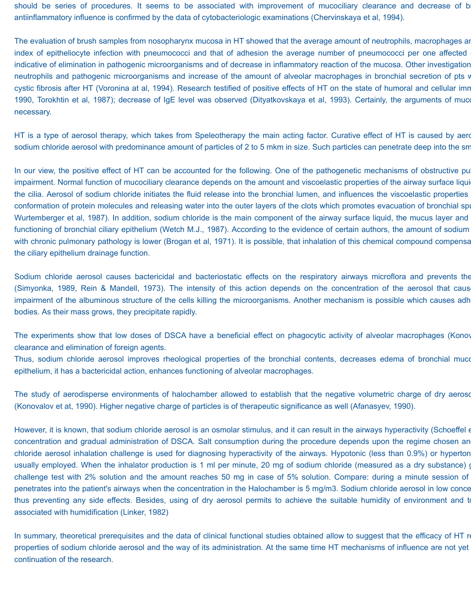should be series of procedures. It seems to be associated with improvement of mucociliary clearance and decrease of b antiinflammatory influence is confirmed by the data of cytobacteriologic examinations (Chervinskaya et al, 1994).

The evaluation of brush samples from nosopharynx mucosa in HT showed that the average amount of neutrophils, macrophages and lymphocytes have been diminished. The evaluation of have been diminished. The evaluation of the e index of epitheliocyte infection with pneumococci and that of adhesion the average number of pneumococci per one affected indicative of elimination in pathogenic microorganisms and of decrease in inflammatory reaction of the mucosa. Other investigation neutrophils and pathogenic microorganisms and increase of the amount of alveolar macrophages in bronchial secretion of pts v cystic fibrosis after HT (Voronina at al, 1994). Research testified of positive effects of HT on the state of humoral and cellular imn 1990, Torokhtin et al, 1987); decrease of IgE level was observed (Dityatkovskaya et al, 1993). Certainly, the arguments of muco necessary.

HT is a type of aerosol therapy, which takes from Speleotherapy the main acting factor. Curative effect of HT is caused by aero sodium chloride aerosol with predominance amount of particles of 2 to 5 mkm in size. Such particles can penetrate deep into the sm

In our view, the positive effect of HT can be accounted for the following. One of the pathogenetic mechanisms of obstructive pu impairment. Normal function of mucociliary clearance depends on the amount and viscoelastic properties of the airway surface liqui the cilia. Aerosol of sodium chloride initiates the fluid release into the bronchial lumen, and influences the viscoelastic properties conformation of protein molecules and releasing water into the outer layers of the clots which promotes evacuation of bronchial spu Wurtemberger et al, 1987). In addition, sodium chloride is the main component of the airway surface liquid, the mucus layer and functioning of bronchial ciliary epithelium (Wetch M.J., 1987). According to the evidence of certain authors, the amount of sodium with chronic pulmonary pathology is lower (Brogan et al, 1971). It is possible, that inhalation of this chemical compound compensa the ciliary epithelium drainage function.

Sodium chloride aerosol causes bactericidal and bacteriostatic effects on the respiratory airways microflora and prevents the (Simyonka, 1989, Rein & Mandell, 1973). The intensity of this action depends on the concentration of the aerosol that caus impairment of the albuminous structure of the cells killing the microorganisms. Another mechanism is possible which causes adh bodies. As their mass grows, they precipitate rapidly.

The experiments show that low doses of DSCA have a beneficial effect on phagocytic activity of alveolar macrophages (Konov clearance and elimination of foreign agents.

Thus, sodium chloride aerosol improves rheological properties of the bronchial contents, decreases edema of bronchial muco epithelium, it has a bactericidal action, enhances functioning of alveolar macrophages.

The study of aerodisperse environments of halochamber allowed to establish that the negative volumetric charge of dry aerosol (Konovalov et at, 1990). Higher negative charge of particles is of therapeutic significance as well (Afanasyev, 1990).

However, it is known, that sodium chloride aerosol is an osmolar stimulus, and it can result in the airways hyperactivity (Schoeffel et concentration and gradual administration of DSCA. Salt consumption during the procedure depends upon the regime chosen an chloride aerosol inhalation challenge is used for diagnosing hyperactivity of the airways. Hypotonic (less than 0.9%) or hyperton usually employed. When the inhalator production is 1 ml per minute, 20 mg of sodium chloride (measured as a dry substance) g challenge test with 2% solution and the amount reaches 50 mg in case of 5% solution. Compare: during a minute session of penetrates into the patient's airways when the concentration in the Halochamber is 5 mg/m3. Sodium chloride aerosol in low conce thus preventing any side effects. Besides, using of dry aerosol permits to achieve the suitable humidity of environment and to associated with humidification (Linker, 1982)

In summary, theoretical prerequisites and the data of clinical functional studies obtained allow to suggest that the efficacy of HT re properties of sodium chloride aerosol and the way of its administration. At the same time HT mechanisms of influence are not yet continuation of the research.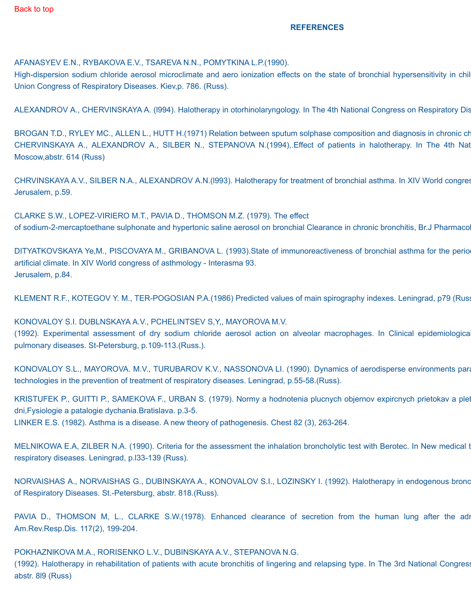#### **REFERENCES**

AFANASYEV E.N., RYBAKOVA E.V., TSAREVA N.N., POMYTKINA L.P.(1990).

High-dispersion sodium chloride aerosol microclimate and aero ionization effects on the state of bronchial hypersensitivity in chil Union Congress of Respiratory Diseases. Kiev,p. 786. (Russ).

ALEXANDROV A., CHERVINSKAYA A. (1994). Halotherapy in otorhinolaryngology. In The 4th National Congress on Respiratory Dis

BROGAN T.D., RYLEY MC., ALLEN L., HUTT H.(1971) Relation between sputum solphase composition and diagnosis in chronic ch CHERVINSKAYA A., ALEXANDROV A., SILBER N., STEPANOVA N.(1994), Effect of patients in halotherapy. In The 4th Nat Moscow,abstr. 614 (Russ)

CHRVINSKAYA A.V., SILBER N.A., ALEXANDROV A.N.(1993). Halotherapy for treatment of bronchial asthma. In XIV World congres Jerusalem, p.59.

CLARKE S.W., LOPEZ-VIRIERO M.T., PAVIA D., THOMSON M.Z. (1979). The effect of sodium-2-mercaptoethane sulphonate and hypertonic saline aerosol on bronchial Clearance in chronic bronchitis, Br.J Pharmacol

DITYATKOVSKAYA Ye,M., PISCOVAYA M., GRIBANOVA L. (1993).State of immunoreactiveness of bronchial asthma for the perio artificial climate. In XIV World congress of asthmology - Interasma 93. Jerusalem, p.84.

KLEMENT R.F., KOTEGOV Y. M., TER-POGOSIAN P.A.(1986) Predicted values of main spirography indexes. Leningrad, p79 (Russ).

KONOVALOY S.I. DUBLNSKAYA A.V., PCHELINTSEV S,Y,, MAYOROVA M.V. (1992). Experimental assessment of dry sodium chloride aerosol action on alveolar macrophages. In Clinical epidemiologica pulmonary diseases. St-Petersburg, p.109-113.(Russ.).

KONOVALOY S.L., MAYOROVA. M.V., TURUBAROV K.V., NASSONOVA LI. (1990). Dynamics of aerodisperse environments para technologies in the prevention of treatment of respiratory diseases. Leningrad, p.55-58.(Russ).

KRISTUFEK P., GUITTI P., SAMEKOVA F., URBAN S. (1979). Normy a hodnotenia plucnych objernov expircnych prietokav a plet dni,Fysiologie a patalogie dychania.Bratislava. p.3-5. LINKER E.S. (1982). Asthma is a disease. A new theory of pathogenesis. Chest 82 (3), 263-264.

MELNIKOWA E.A, ZILBER N.A. (1990). Criteria for the assessment the inhalation broncholytic test with Berotec. In New medical t respiratory diseases. Leningrad, p.l33-139 (Russ).

NORVAISHAS A., NORVAISHAS G., DUBINSKAYA A., KONOVALOV S.I., LOZINSKY I. (1992). Halotherapy in endogenous bronc of Respiratory Diseases. St.-Petersburg, abstr. 818.(Russ).

PAVIA D., THOMSON M, L., CLARKE S.W.(1978). Enhanced clearance of secretion from the human lung after the adm Am.Rev.Resp.Dis. 117(2), 199-204.

POKHAZNlKOVA M.A., RORISENKO L.V., DUBINSKAYA A.V., STEPANOVA N.G.

(1992). Halotherapy in rehabilitation of patients with acute bronchitis of lingering and relapsing type. In The 3rd National Congress abstr. 8l9 (Russ)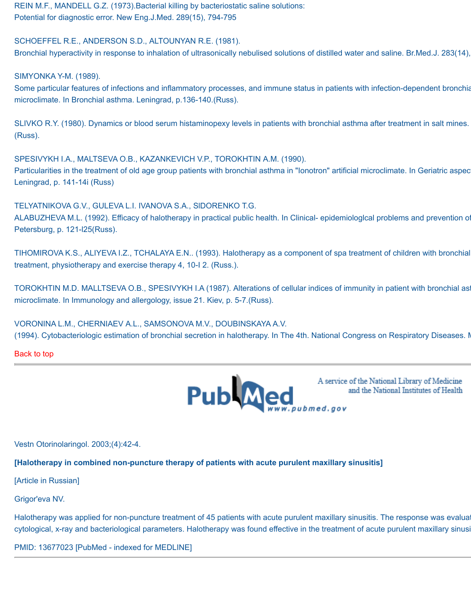REIN M.F., MANDELL G.Z. (1973).Bacterial killing by bacteriostatic saline solutions: Potential for diagnostic error. New Eng.J.Med. 289(15), 794-795

SCHOEFFEL R.E., ANDERSON S.D., ALTOUNYAN R.E. (1981).

Bronchial hyperactivity in response to inhalation of ultrasonically nebulised solutions of distilled water and saline. Br.Med.J. 283(14),

SIMYONKA Y-M. (1989).

Some particular features of infections and inflammatory processes, and immune status in patients with infection-dependent bronchia microclimate. In Bronchial asthma. Leningrad, p.136-140.(Russ).

SLIVKO R.Y. (1980). Dynamics or blood serum histaminopexy levels in patients with bronchial asthma after treatment in salt mines. (Russ).

SPESIVYKH I.A., MALTSEVA O.B., KAZANKEVICH V.P., TOROKHTIN A.M. (1990).

Particularities in the treatment of old age group patients with bronchial asthma in "Ionotron" artificial microclimate. In Geriatric aspec Leningrad, p. 141-14i (Russ)

TELYATNIKOVA G.V., GULEVA L.I. IVANOVA S.A., SlDORENKO T.G.

ALABUZHEVA M.L. (1992). Efficacy of halotherapy in practical public health. In Clinical- epidemiological problems and prevention of Petersburg, p. 121-l25(Russ).

TIHOMIROVA K.S., ALIYEVA I.Z., TCHALAYA E.N.. (1993). Halotherapy as a component of spa treatment of children with bronchial treatment, physiotherapy and exercise therapy 4, 10-I 2. (Russ.).

TOROKHTIN M.D. MALLTSEVA O.B., SPESIVYKH I.A (1987). Alterations of cellular indices of immunity in patient with bronchial asthma exposed to chamber artificial artificial artificial exponent artificial artificial artificia microclimate. In Immunology and allergology, issue 21. Kiev, p. 5-7.(Russ).

VORONINA L.M., CHERNIAEV A.L., SAMSONOVA M.V., DOUBINSKAYA A.V. (1994). Cytobacteriologic estimation of bronchial secretion in halotherapy. In The 4th. National Congress on Respiratory Diseases. N

[Back to top](http://www.halotherapy.com/full-clinical-result.html#Topofresults)



A service of the National Library of Medicine and the National Institutes of Health

Vestn Otorinolaringol. 2003;(4):42-4.

**[Halotherapy in combined non-puncture therapy of patients with acute purulent maxillary sinusitis]**

[Article in Russian]

Grigor'eva NV.

Halotherapy was applied for non-puncture treatment of 45 patients with acute purulent maxillary sinusitis. The response was evaluated by changes in clinical, and the response was evaluated by changes in clinical, and the r cytological, x-ray and bacteriological parameters. Halotherapy was found effective in the treatment of acute purulent maxillary sinusiti

PMID: 13677023 [PubMed - indexed for MEDLINE]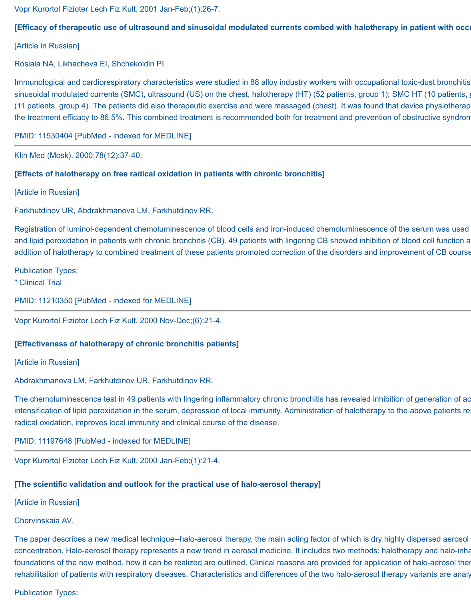Vopr Kurortol Fizioter Lech Fiz Kult. 2001 Jan-Feb;(1):26-7.

# [Efficacy of therapeutic use of ultrasound and sinusoidal modulated currents combed with halotherapy in patient with occu

[Article in Russian]

Roslaia NA, Likhacheva EI, Shchekoldin PI.

Immunological and cardiorespiratory characteristics were studied in 88 alloy industry workers with occupational toxic-dust bronchitis sinusoidal modulated currents (SMC), ultrasound (US) on the chest, halotherapy (HT) (52 patients, group 1); SMC HT (10 patients, group 3); SMC HT (10 patients, group 3); SMC HT (10 patients, group 3); SMC HT (10 patients, (11 patients, group 4). The patients did also therapeutic exercise and were massaged (chest). It was found that device physiotherap the treatment efficacy to 86.5%. This combined treatment is recommended both for treatment and prevention of obstructive syndrom

PMID: 11530404 [PubMed - indexed for MEDLINE]

Klin Med (Mosk). 2000;78(12):37-40.

# **[Effects of halotherapy on free radical oxidation in patients with chronic bronchitis]**

[Article in Russian]

Farkhutdinov UR, Abdrakhmanova LM, Farkhutdinov RR.

Registration of luminol-dependent chemoluminescence of blood cells and iron-induced chemoluminescence of the serum was used and lipid peroxidation in patients with chronic bronchitis (CB). 49 patients with lingering CB showed inhibition of blood cell function a addition of halotherapy to combined treatment of these patients promoted correction of the disorders and improvement of CB course

Publication Types:

" Clinical Trial

PMID: 11210350 [PubMed - indexed for MEDLINE]

Vopr Kurortol Fizioter Lech Fiz Kult. 2000 Nov-Dec;(6):21-4.

#### **[Effectiveness of halotherapy of chronic bronchitis patients]**

[Article in Russian]

Abdrakhmanova LM, Farkhutdinov UR, Farkhutdinov RR.

The chemoluminescence test in 49 patients with lingering inflammatory chronic bronchitis has revealed inhibition of generation of ac intensification of lipid peroxidation in the serum, depression of local immunity. Administration of halotherapy to the above patients re radical oxidation, improves local immunity and clinical course of the disease.

PMID: 11197648 [PubMed - indexed for MEDLINE]

Vopr Kurortol Fizioter Lech Fiz Kult. 2000 Jan-Feb;(1):21-4.

# **[The scientific validation and outlook for the practical use of halo-aerosol therapy]**

[Article in Russian]

Chervinskaia AV.

The paper describes a new medical technique--halo-aerosol therapy, the main acting factor of which is dry highly dispersed aerosol concentration. Halo-aerosol therapy represents a new trend in aerosol medicine. It includes two methods: halotherapy and halo-inha foundations of the new method, how it can be realized are outlined. Clinical reasons are provided for application of halo-aerosol ther rehabilitation of patients with respiratory diseases. Characteristics and differences of the two halo-aerosol therapy variants are analy

Publication Types: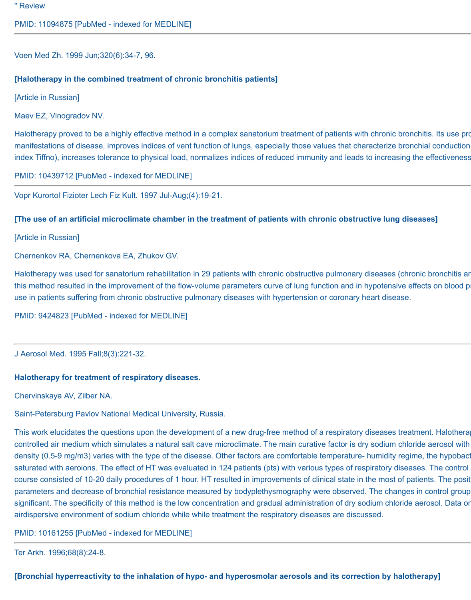" Review

PMID: 11094875 [PubMed - indexed for MEDLINE]

Voen Med Zh. 1999 Jun;320(6):34-7, 96.

#### **[Halotherapy in the combined treatment of chronic bronchitis patients]**

[Article in Russian]

Maev EZ, Vinogradov NV.

Halotherapy proved to be a highly effective method in a complex sanatorium treatment of patients with chronic bronchitis. Its use pro manifestations of disease, improves indices of vent function of lungs, especially those values that characterize bronchial conduction index Tiffno), increases tolerance to physical load, normalizes indices of reduced immunity and leads to increasing the effectiveness

PMID: 10439712 [PubMed - indexed for MEDLINE]

Vopr Kurortol Fizioter Lech Fiz Kult. 1997 Jul-Aug;(4):19-21.

#### **[The use of an artificial microclimate chamber in the treatment of patients with chronic obstructive lung diseases]**

[Article in Russian]

Chernenkov RA, Chernenkova EA, Zhukov GV.

Halotherapy was used for sanatorium rehabilitation in 29 patients with chronic obstructive pulmonary diseases (chronic bronchitis ar this method resulted in the improvement of the flow-volume parameters curve of lung function and in hypotensive effects on blood p use in patients suffering from chronic obstructive pulmonary diseases with hypertension or coronary heart disease.

PMID: 9424823 [PubMed - indexed for MEDLINE]

J Aerosol Med. 1995 Fall;8(3):221-32.

#### **Halotherapy for treatment of respiratory diseases.**

Chervinskaya AV, Zilber NA.

Saint-Petersburg Pavlov National Medical University, Russia.

This work elucidates the questions upon the development of a new drug-free method of a respiratory diseases treatment. Halothera controlled air medium which simulates a natural salt cave microclimate. The main curative factor is dry sodium chloride aerosol with density (0.5-9 mg/m3) varies with the type of the disease. Other factors are comfortable temperature- humidity regime, the hypobact saturated with aeroions. The effect of HT was evaluated in 124 patients (pts) with various types of respiratory diseases. The control course consisted of 10-20 daily procedures of 1 hour. HT resulted in improvements of clinical state in the most of patients. The posit parameters and decrease of bronchial resistance measured by bodyplethysmography were observed. The changes in control group significant. The specificity of this method is the low concentration and gradual administration of dry sodium chloride aerosol. Data or airdispersive environment of sodium chloride while while treatment the respiratory diseases are discussed.

PMID: 10161255 [PubMed - indexed for MEDLINE]

Ter Arkh. 1996;68(8):24-8.

**[Bronchial hyperreactivity to the inhalation of hypo- and hyperosmolar aerosols and its correction by halotherapy]**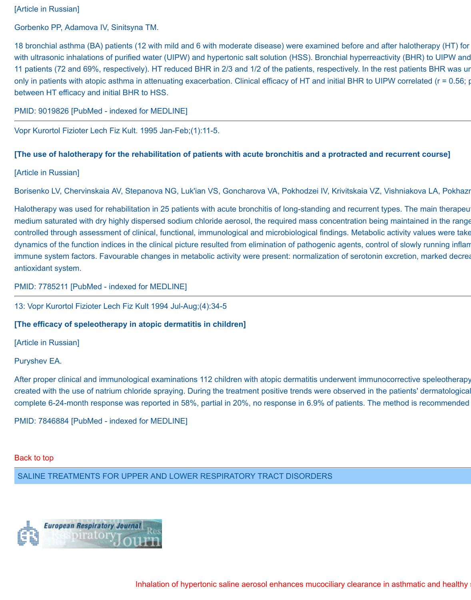# [Article in Russian]

Gorbenko PP, Adamova IV, Sinitsyna TM.

18 bronchial asthma (BA) patients (12 with mild and 6 with moderate disease) were examined before and after halotherapy (HT) for with ultrasonic inhalations of purified water (UIPW) and hypertonic salt solution (HSS). Bronchial hyperreactivity (BHR) to UIPW and 11 patients (72 and 69%, respectively). HT reduced BHR in 2/3 and 1/2 of the patients, respectively. In the rest patients BHR was ur only in patients with atopic asthma in attenuating exacerbation. Clinical efficacy of HT and initial BHR to UIPW correlated ( $r = 0.56$ ; p between HT efficacy and initial BHR to HSS.

PMID: 9019826 [PubMed - indexed for MEDLINE]

Vopr Kurortol Fizioter Lech Fiz Kult. 1995 Jan-Feb;(1):11-5.

#### **[The use of halotherapy for the rehabilitation of patients with acute bronchitis and a protracted and recurrent course]**

[Article in Russian]

Borisenko LV, Chervinskaia AV, Stepanova NG, Luk'ian VS, Goncharova VA, Pokhodzei IV, Krivitskaia VZ, Vishniakova LA, Pokhazr

Halotherapy was used for rehabilitation in 25 patients with acute bronchitis of long-standing and recurrent types. The main therapeu medium saturated with dry highly dispersed sodium chloride aerosol, the required mass concentration being maintained in the range controlled through assessment of clinical, functional, immunological and microbiological findings. Metabolic activity values were take dynamics of the function indices in the clinical picture resulted from elimination of pathogenic agents, control of slowly running inflam immune system factors. Favourable changes in metabolic activity were present: normalization of serotonin excretion, marked decrea antioxidant system.

# PMID: 7785211 [PubMed - indexed for MEDLINE]

13: Vopr Kurortol Fizioter Lech Fiz Kult 1994 Jul-Aug;(4):34-5

#### **[The efficacy of speleotherapy in atopic dermatitis in children]**

[Article in Russian]

Puryshev EA.

After proper clinical and immunological examinations 112 children with atopic dermatitis underwent immunocorrective speleotherapy created with the use of natrium chloride spraying. During the treatment positive trends were observed in the patients' dermatological complete 6-24-month response was reported in 58%, partial in 20%, no response in 6.9% of patients. The method is recommended

PMID: 7846884 [PubMed - indexed for MEDLINE]

#### [Back to top](http://www.halotherapy.com/full-clinical-result.html#Topofresults)

SALINE TREATMENTS FOR UPPER AND LOWER RESPIRATORY TRACT DISORDERS

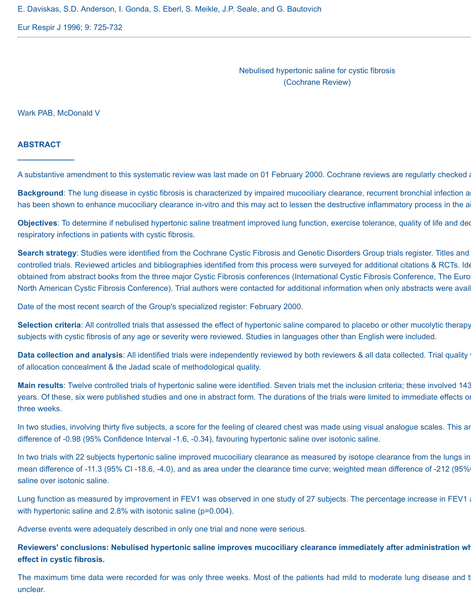E. Daviskas, S.D. Anderson, I. Gonda, S. Eberl, S. Meikle, J.P. Seale, and G. Bautovich

Eur Respir J 1996; 9: 725-732

Nebulised hypertonic saline for cystic fibrosis (Cochrane Review)

Wark PAB, McDonald V

#### **ABSTRACT**

**\_\_\_\_\_\_\_\_\_\_\_\_\_**

A substantive amendment to this systematic review was last made on 01 February 2000. Cochrane reviews are regularly checked a

**Background**: The lung disease in cystic fibrosis is characterized by impaired mucociliary clearance, recurrent bronchial infection a has been shown to enhance mucociliary clearance in-vitro and this may act to lessen the destructive inflammatory process in the a

**Objectives**: To determine if nebulised hypertonic saline treatment improved lung function, exercise tolerance, quality of life and ded respiratory infections in patients with cystic fibrosis.

Search strategy: Studies were identified from the Cochrane Cystic Fibrosis and Genetic Disorders Group trials register. Titles and controlled trials. Reviewed articles and bibliographies identified from this process were surveyed for additional citations & RCTs. Ide obtained from abstract books from the three major Cystic Fibrosis conferences (International Cystic Fibrosis Conference, The Euro North American Cystic Fibrosis Conference). Trial authors were contacted for additional information when only abstracts were avail

Date of the most recent search of the Group's specialized register: February 2000.

**Selection criteria**: All controlled trials that assessed the effect of hypertonic saline compared to placebo or other mucolytic therapy subjects with cystic fibrosis of any age or severity were reviewed. Studies in languages other than English were included.

**Data collection and analysis**: All identified trials were independently reviewed by both reviewers & all data collected. Trial quality of allocation concealment & the Jadad scale of methodological quality.

Main results: Twelve controlled trials of hypertonic saline were identified. Seven trials met the inclusion criteria; these involved 143 years. Of these, six were published studies and one in abstract form. The durations of the trials were limited to immediate effects or three weeks.

In two studies, involving thirty five subjects, a score for the feeling of cleared chest was made using visual analogue scales. This are difference of -0.98 (95% Confidence Interval -1.6, -0.34), favouring hypertonic saline over isotonic saline.

In two trials with 22 subjects hypertonic saline improved mucociliary clearance as measured by isotope clearance from the lungs in mean difference of -11.3 (95% CI -18.6, -4.0), and as area under the clearance time curve; weighted mean difference of -212 (95% saline over isotonic saline.

Lung function as measured by improvement in FEV1 was observed in one study of 27 subjects. The percentage increase in FEV1 at two weeks in the verse in FEV1. with hypertonic saline and 2.8% with isotonic saline (p=0.004).

Adverse events were adequately described in only one trial and none were serious.

# Reviewers' conclusions: Nebulised hypertonic saline improves mucociliary clearance immediately after administration wh **effect in cystic fibrosis.**

The maximum time data were recorded for was only three weeks. Most of the patients had mild to moderate lung disease and t unclear.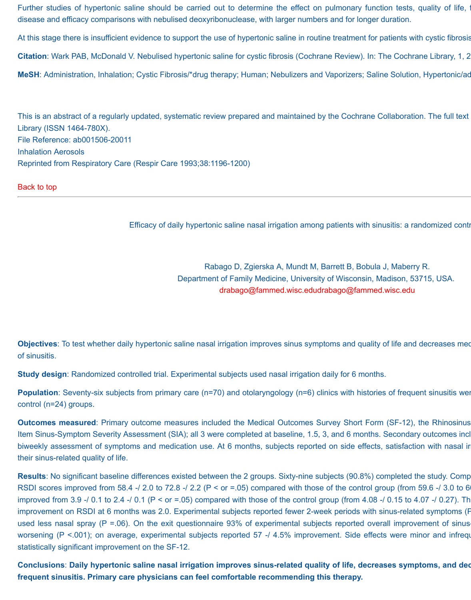Further studies of hypertonic saline should be carried out to determine the effect on pulmonary function tests, quality of life, i disease and efficacy comparisons with nebulised deoxyribonuclease, with larger numbers and for longer duration.

At this stage there is insufficient evidence to support the use of hypertonic saline in routine treatment for patients with cystic fibrosis.

**Citation**: Wark PAB, McDonald V. Nebulised hypertonic saline for cystic fibrosis (Cochrane Review). In: The Cochrane Library, 1, 2

MeSH: Administration, Inhalation; Cystic Fibrosis/\*drug therapy; Human; Nebulizers and Vaporizers; Saline Solution, Hypertonic/ad

This is an abstract of a regularly updated, systematic review prepared and maintained by the Cochrane Collaboration. The full text Library (ISSN 1464-780X). File Reference: ab001506-20011 Inhalation Aerosols Reprinted from Respiratory Care (Respir Care 1993;38:1196-1200)

[Back to top](http://www.halotherapy.com/full-clinical-result.html#Topofresults)

Efficacy of daily hypertonic saline nasal irrigation among patients with sinusitis: a randomized controlled trial.

Rabago D, Zgierska A, Mundt M, Barrett B, Bobula J, Maberry R. Department of Family Medicine, University of Wisconsin, Madison, 53715, USA. [drabago@fammed.wisc.edudrabago@fammed.wisc.edu](mailto:drabago@fammed.wisc.edu)

**Objectives**: To test whether daily hypertonic saline nasal irrigation improves sinus symptoms and quality of life and decreases medication use in adult subof sinusitis.

**Study design**: Randomized controlled trial. Experimental subjects used nasal irrigation daily for 6 months.

**Population**: Seventy-six subjects from primary care (n=70) and otolaryngology (n=6) clinics with histories of frequent sinusitis were control (n=24) groups.

**Outcomes measured**: Primary outcome measures included the Medical Outcomes Survey Short Form (SF-12), the Rhinosinus Item Sinus-Symptom Severity Assessment (SIA); all 3 were completed at baseline, 1.5, 3, and 6 months. Secondary outcomes incl biweekly assessment of symptoms and medication use. At 6 months, subjects reported on side effects, satisfaction with nasal ir their sinus-related quality of life.

**Results**: No significant baseline differences existed between the 2 groups. Sixty-nine subjects (90.8%) completed the study. Comp RSDI scores improved from 58.4 -/ 2.0 to 72.8 -/ 2.2 (P < or =.05) compared with those of the control group (from 59.6 -/ 3.0 to 6 improved from 3.9 -/ 0.1 to 2.4 -/ 0.1 ( $P < or = .05$ ) compared with those of the control group (from 4.08 -/ 0.15 to 4.07 -/ 0.27). Th improvement on RSDI at 6 months was 2.0. Experimental subjects reported fewer 2-week periods with sinus-related symptoms (F used less nasal spray (P =.06). On the exit questionnaire  $93\%$  of experimental subjects reported overall improvement of sinus worsening (P <.001); on average, experimental subjects reported 57 -/ 4.5% improvement. Side effects were minor and infrequent. statistically significant improvement on the SF-12.

Conclusions: Daily hypertonic saline nasal irrigation improves sinus-related quality of life, decreases symptoms, and dec **frequent sinusitis. Primary care physicians can feel comfortable recommending this therapy.**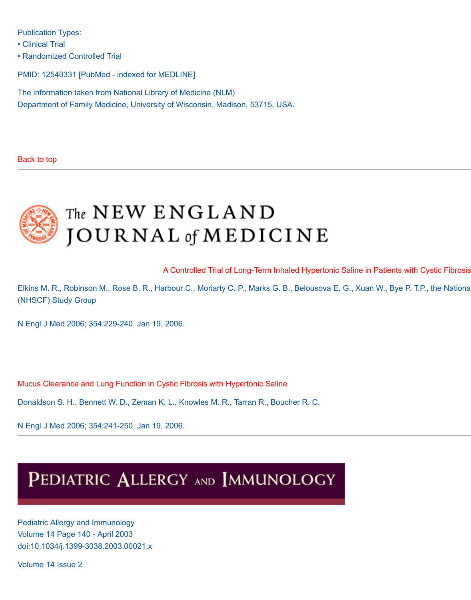Publication Types:

• Clinical Trial

• Randomized Controlled Trial

PMID: 12540331 [PubMed - indexed for MEDLINE]

The information taken from National Library of Medicine (NLM) Department of Family Medicine, University of Wisconsin, Madison, 53715, USA.

#### [Back to top](http://www.halotherapy.com/full-clinical-result.html#Topofresults)



# The NEW ENGLAND **JOURNAL** of **MEDICINE**

[A Controlled Trial of Long-Term Inhaled Hypertonic Saline in Patients with Cystic Fibrosis](http://www.halotherapy.com/Saline_Inhalation_Trial.pdf)

Elkins M. R., Robinson M., Rose B. R., Harbour C., Moriarty C. P., Marks G. B., Belousova E. G., Xuan W., Bye P. T.P., the Nationa (NHSCF) Study Group

N Engl J Med 2006; 354:229-240, Jan 19, 2006.

[Mucus Clearance and Lung Function in Cystic Fibrosis with Hypertonic Saline](http://www.halotherapy.com/Saline_Mucus_Asthma_trial.pdf)

Donaldson S. H., Bennett W. D., Zeman K. L., Knowles M. R., Tarran R., Boucher R. C.

N Engl J Med 2006; 354:241-250, Jan 19, 2006.

# PEDIATRIC ALLERGY AND IMMUNOLOGY

Pediatric Allergy and Immunology Volume 14 Page 140 - April 2003 doi:10.1034/j.1399-3038.2003.00021.x

Volume 14 Issue 2